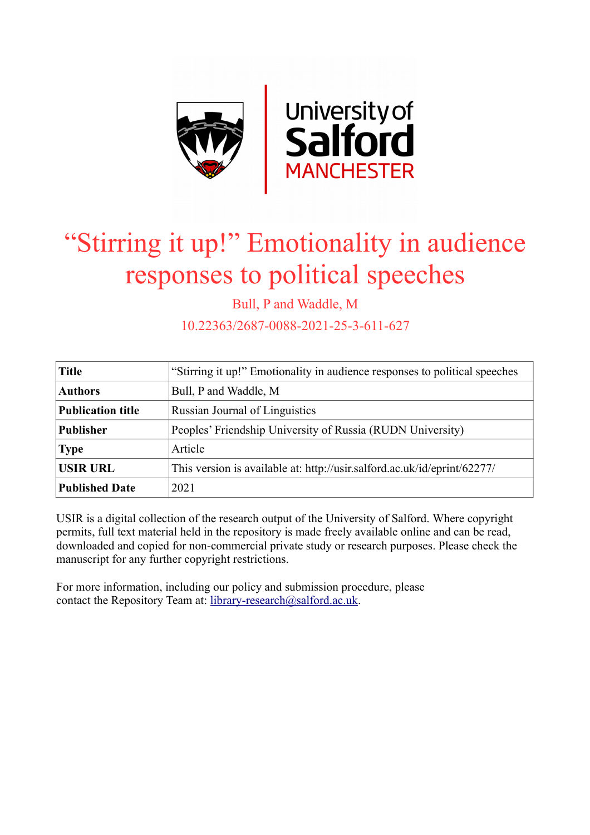

# "Stirring it up!" Emotionality in audience responses to political speeches

Bull, P and Waddle, M

10.22363/2687-0088-2021-25-3-611-627

| <b>Title</b>             | "Stirring it up!" Emotionality in audience responses to political speeches |
|--------------------------|----------------------------------------------------------------------------|
| <b>Authors</b>           | Bull, P and Waddle, M                                                      |
| <b>Publication title</b> | <b>Russian Journal of Linguistics</b>                                      |
| <b>Publisher</b>         | Peoples' Friendship University of Russia (RUDN University)                 |
| <b>Type</b>              | Article                                                                    |
| <b>USIR URL</b>          | This version is available at: http://usir.salford.ac.uk/id/eprint/62277/   |
| <b>Published Date</b>    | 2021                                                                       |

USIR is a digital collection of the research output of the University of Salford. Where copyright permits, full text material held in the repository is made freely available online and can be read, downloaded and copied for non-commercial private study or research purposes. Please check the manuscript for any further copyright restrictions.

For more information, including our policy and submission procedure, please contact the Repository Team at: [library-research@salford.ac.uk.](mailto:library-research@salford.ac.uk)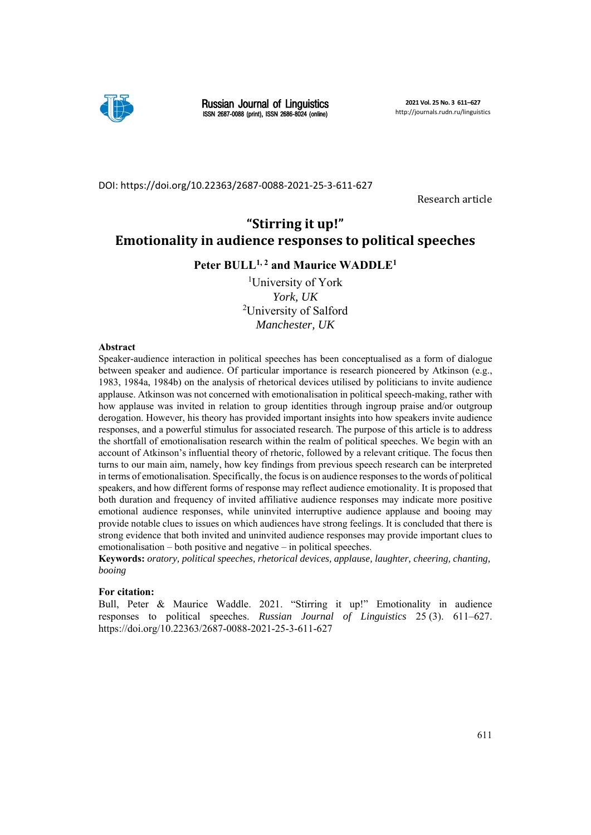

DOI: https://doi.org/10.22363/2687‐0088‐2021‐25‐3‐611‐627

Research article

# **"Stirring it up!" Emotionality in audience responses to political speeches**

Peter BULL<sup>1, 2</sup> and Maurice WADDLE<sup>1</sup>

1 University of York *York, UK*  <sup>2</sup>University of Salford *Manchester, UK*

#### **Abstract**

Speaker-audience interaction in political speeches has been conceptualised as a form of dialogue between speaker and audience. Of particular importance is research pioneered by Atkinson (e.g., 1983, 1984a, 1984b) on the analysis of rhetorical devices utilised by politicians to invite audience applause. Atkinson was not concerned with emotionalisation in political speech-making, rather with how applause was invited in relation to group identities through ingroup praise and/or outgroup derogation. However, his theory has provided important insights into how speakers invite audience responses, and a powerful stimulus for associated research. The purpose of this article is to address the shortfall of emotionalisation research within the realm of political speeches. We begin with an account of Atkinson's influential theory of rhetoric, followed by a relevant critique. The focus then turns to our main aim, namely, how key findings from previous speech research can be interpreted in terms of emotionalisation. Specifically, the focus is on audience responses to the words of political speakers, and how different forms of response may reflect audience emotionality. It is proposed that both duration and frequency of invited affiliative audience responses may indicate more positive emotional audience responses, while uninvited interruptive audience applause and booing may provide notable clues to issues on which audiences have strong feelings. It is concluded that there is strong evidence that both invited and uninvited audience responses may provide important clues to emotionalisation – both positive and negative – in political speeches.

**Keywords:** *oratory, political speeches, rhetorical devices, applause, laughter, cheering, chanting, booing* 

#### **For citation:**

Bull, Peter & Maurice Waddle. 2021. "Stirring it up!" Emotionality in audience responses to political speeches. *Russian Journal of Linguistics* 25 (3). 611–627. https://doi.org/10.22363/2687-0088-2021-25-3-611-627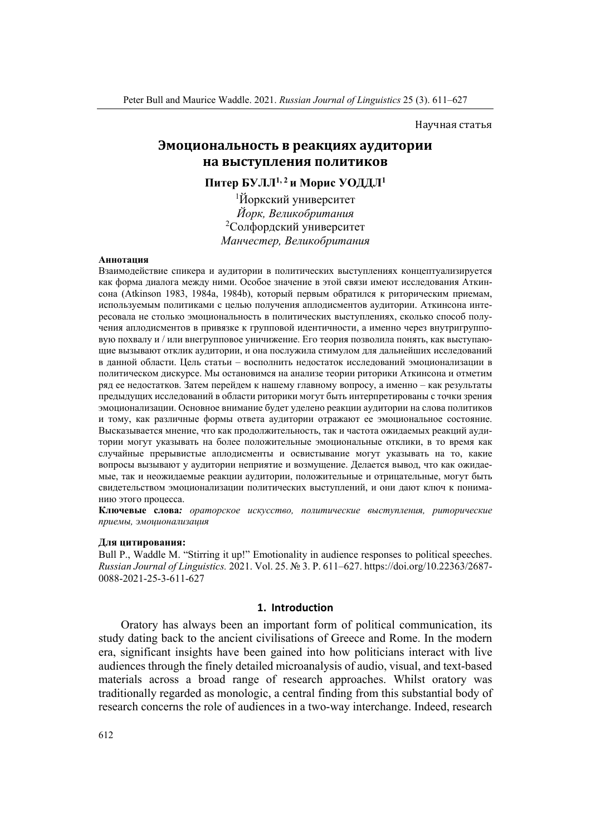Научная статья

# **Эмоциональность в реакциях аудитории на выступления политиков**

**Питер БУЛЛ1, 2 и Морис УОДДЛ1**

1 Йоркский университет *Йорк, Великобритания* 2 Солфордский университет *Манчестер, Великобритания*

#### **Аннотация**

Взаимодействие спикера и аудитории в политических выступлениях концептуализируется как форма диалога между ними. Особое значение в этой связи имеют исследования Аткинсона (Atkinson 1983, 1984a, 1984b), который первым обратился к риторическим приемам, используемым политиками с целью получения аплодисментов аудитории. Аткинсона интересовала не столько эмоциональность в политических выступлениях, сколько способ получения аплодисментов в привязке к групповой идентичности, а именно через внутригрупповую похвалу и / или внегрупповое уничижение. Eго теория позволила понять, как выступающие вызывают отклик аудитории, и она послужила стимулом для дальнейших исследований в данной области. Цель статьи – восполнить недостаток исследований эмоционализации в политическом дискурсе. Мы остановимся на анализе теории риторики Аткинсона и отметим ряд ее недостатков. Затем перейдем к нашему главному вопросу, а именно – как результаты предыдущих исследований в области риторики могут быть интерпретированы с точки зрения эмоционализации. Основное внимание будет уделено реакции аудитории на слова политиков и тому, как различные формы ответа аудитории отражают ее эмоциональное состояние. Высказывается мнение, что как продолжительность, так и частота ожидаемых реакций аудитории могут указывать на более положительные эмоциональные отклики, в то время как случайные прерывистые аплодисменты и освистывание могут указывать на то, какие вопросы вызывают у аудитории неприятие и возмущение. Делается вывод, что как ожидаемые, так и неожидаемые реакции аудитории, положительные и отрицательные, могут быть свидетельством эмоционализации политических выступлений, и они дают ключ к пониманию этого процесса.

**Ключевые слова***: ораторское искусство, политические выступления, риторические приемы, эмоционализация*

#### **Для цитирования:**

Bull P., Waddle M. "Stirring it up!" Emotionality in audience responses to political speeches. *Russian Journal of Linguistics.* 2021. Vol. 25. № 3. P. 611–627. https://doi.org/10.22363/2687- 0088-2021-25-3-611-627

### **1. Introduction**

Oratory has always been an important form of political communication, its study dating back to the ancient civilisations of Greece and Rome. In the modern era, significant insights have been gained into how politicians interact with live audiences through the finely detailed microanalysis of audio, visual, and text-based materials across a broad range of research approaches. Whilst oratory was traditionally regarded as monologic, a central finding from this substantial body of research concerns the role of audiences in a two-way interchange. Indeed, research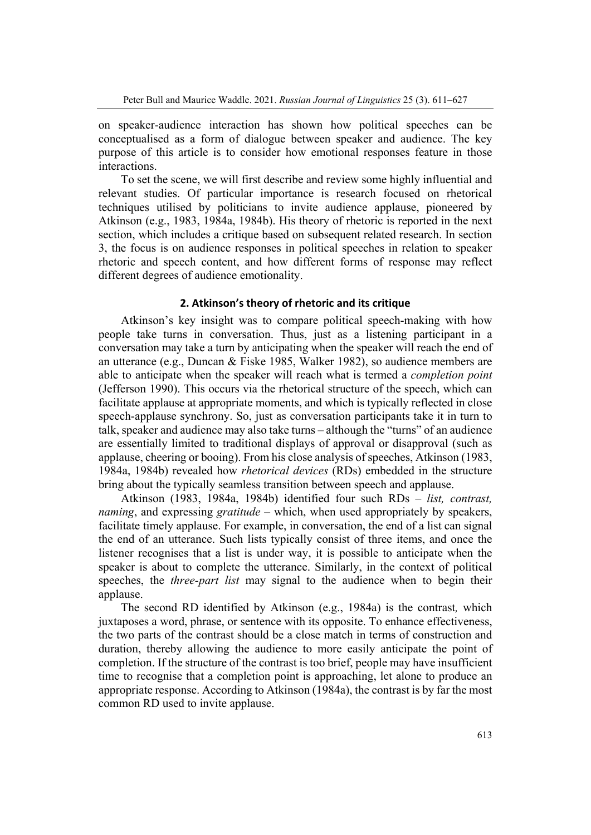on speaker-audience interaction has shown how political speeches can be conceptualised as a form of dialogue between speaker and audience. The key purpose of this article is to consider how emotional responses feature in those interactions.

To set the scene, we will first describe and review some highly influential and relevant studies. Of particular importance is research focused on rhetorical techniques utilised by politicians to invite audience applause, pioneered by Atkinson (e.g., 1983, 1984a, 1984b). His theory of rhetoric is reported in the next section, which includes a critique based on subsequent related research. In section 3, the focus is on audience responses in political speeches in relation to speaker rhetoric and speech content, and how different forms of response may reflect different degrees of audience emotionality.

## **2. Atkinson's theory of rhetoric and its critique**

Atkinson's key insight was to compare political speech-making with how people take turns in conversation. Thus, just as a listening participant in a conversation may take a turn by anticipating when the speaker will reach the end of an utterance (e.g., Duncan & Fiske 1985, Walker 1982), so audience members are able to anticipate when the speaker will reach what is termed a *completion point* (Jefferson 1990). This occurs via the rhetorical structure of the speech, which can facilitate applause at appropriate moments, and which is typically reflected in close speech-applause synchrony. So, just as conversation participants take it in turn to talk, speaker and audience may also take turns – although the "turns" of an audience are essentially limited to traditional displays of approval or disapproval (such as applause, cheering or booing). From his close analysis of speeches, Atkinson (1983, 1984a, 1984b) revealed how *rhetorical devices* (RDs) embedded in the structure bring about the typically seamless transition between speech and applause.

Atkinson (1983, 1984a, 1984b) identified four such RDs – *list, contrast, naming*, and expressing *gratitude* – which, when used appropriately by speakers, facilitate timely applause. For example, in conversation, the end of a list can signal the end of an utterance. Such lists typically consist of three items, and once the listener recognises that a list is under way, it is possible to anticipate when the speaker is about to complete the utterance. Similarly, in the context of political speeches, the *three-part list* may signal to the audience when to begin their applause.

The second RD identified by Atkinson (e.g., 1984a) is the contrast*,* which juxtaposes a word, phrase, or sentence with its opposite. To enhance effectiveness, the two parts of the contrast should be a close match in terms of construction and duration, thereby allowing the audience to more easily anticipate the point of completion. If the structure of the contrast is too brief, people may have insufficient time to recognise that a completion point is approaching, let alone to produce an appropriate response. According to Atkinson (1984a), the contrast is by far the most common RD used to invite applause.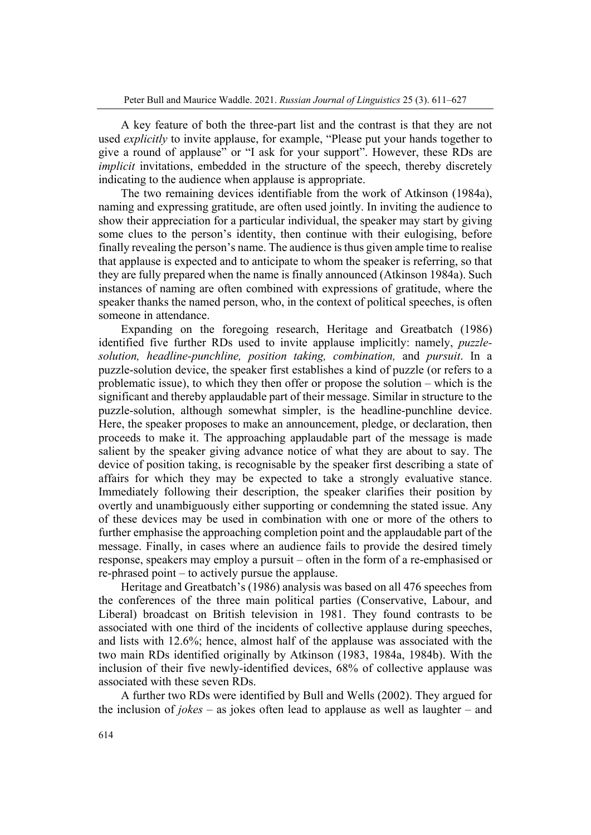A key feature of both the three-part list and the contrast is that they are not used *explicitly* to invite applause, for example, "Please put your hands together to give a round of applause" or "I ask for your support". However, these RDs are *implicit* invitations, embedded in the structure of the speech, thereby discretely indicating to the audience when applause is appropriate.

The two remaining devices identifiable from the work of Atkinson (1984a), naming and expressing gratitude, are often used jointly. In inviting the audience to show their appreciation for a particular individual, the speaker may start by giving some clues to the person's identity, then continue with their eulogising, before finally revealing the person's name. The audience is thus given ample time to realise that applause is expected and to anticipate to whom the speaker is referring, so that they are fully prepared when the name is finally announced (Atkinson 1984a). Such instances of naming are often combined with expressions of gratitude, where the speaker thanks the named person, who, in the context of political speeches, is often someone in attendance.

Expanding on the foregoing research, Heritage and Greatbatch (1986) identified five further RDs used to invite applause implicitly: namely, *puzzlesolution, headline-punchline, position taking, combination,* and *pursuit*. In a puzzle-solution device, the speaker first establishes a kind of puzzle (or refers to a problematic issue), to which they then offer or propose the solution – which is the significant and thereby applaudable part of their message. Similar in structure to the puzzle-solution, although somewhat simpler, is the headline-punchline device. Here, the speaker proposes to make an announcement, pledge, or declaration, then proceeds to make it. The approaching applaudable part of the message is made salient by the speaker giving advance notice of what they are about to say. The device of position taking, is recognisable by the speaker first describing a state of affairs for which they may be expected to take a strongly evaluative stance. Immediately following their description, the speaker clarifies their position by overtly and unambiguously either supporting or condemning the stated issue. Any of these devices may be used in combination with one or more of the others to further emphasise the approaching completion point and the applaudable part of the message. Finally, in cases where an audience fails to provide the desired timely response, speakers may employ a pursuit – often in the form of a re-emphasised or re-phrased point – to actively pursue the applause.

Heritage and Greatbatch's (1986) analysis was based on all 476 speeches from the conferences of the three main political parties (Conservative, Labour, and Liberal) broadcast on British television in 1981. They found contrasts to be associated with one third of the incidents of collective applause during speeches, and lists with 12.6%; hence, almost half of the applause was associated with the two main RDs identified originally by Atkinson (1983, 1984a, 1984b). With the inclusion of their five newly-identified devices, 68% of collective applause was associated with these seven RDs.

A further two RDs were identified by Bull and Wells (2002). They argued for the inclusion of *jokes* – as jokes often lead to applause as well as laughter – and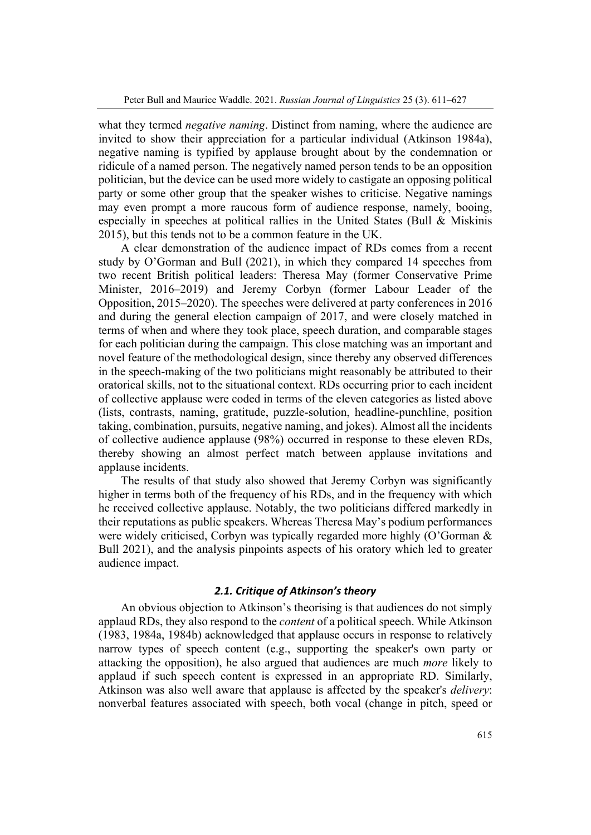what they termed *negative naming*. Distinct from naming, where the audience are invited to show their appreciation for a particular individual (Atkinson 1984a), negative naming is typified by applause brought about by the condemnation or ridicule of a named person. The negatively named person tends to be an opposition politician, but the device can be used more widely to castigate an opposing political party or some other group that the speaker wishes to criticise. Negative namings may even prompt a more raucous form of audience response, namely, booing, especially in speeches at political rallies in the United States (Bull & Miskinis 2015), but this tends not to be a common feature in the UK.

A clear demonstration of the audience impact of RDs comes from a recent study by O'Gorman and Bull (2021), in which they compared 14 speeches from two recent British political leaders: Theresa May (former Conservative Prime Minister, 2016–2019) and Jeremy Corbyn (former Labour Leader of the Opposition, 2015–2020). The speeches were delivered at party conferences in 2016 and during the general election campaign of 2017, and were closely matched in terms of when and where they took place, speech duration, and comparable stages for each politician during the campaign. This close matching was an important and novel feature of the methodological design, since thereby any observed differences in the speech-making of the two politicians might reasonably be attributed to their oratorical skills, not to the situational context. RDs occurring prior to each incident of collective applause were coded in terms of the eleven categories as listed above (lists, contrasts, naming, gratitude, puzzle-solution, headline-punchline, position taking, combination, pursuits, negative naming, and jokes). Almost all the incidents of collective audience applause (98%) occurred in response to these eleven RDs, thereby showing an almost perfect match between applause invitations and applause incidents.

The results of that study also showed that Jeremy Corbyn was significantly higher in terms both of the frequency of his RDs, and in the frequency with which he received collective applause. Notably, the two politicians differed markedly in their reputations as public speakers. Whereas Theresa May's podium performances were widely criticised, Corbyn was typically regarded more highly (O'Gorman & Bull 2021), and the analysis pinpoints aspects of his oratory which led to greater audience impact.

## *2.1. Critique of Atkinson's theory*

An obvious objection to Atkinson's theorising is that audiences do not simply applaud RDs, they also respond to the *content* of a political speech. While Atkinson (1983, 1984a, 1984b) acknowledged that applause occurs in response to relatively narrow types of speech content (e.g., supporting the speaker's own party or attacking the opposition), he also argued that audiences are much *more* likely to applaud if such speech content is expressed in an appropriate RD. Similarly, Atkinson was also well aware that applause is affected by the speaker's *delivery*: nonverbal features associated with speech, both vocal (change in pitch, speed or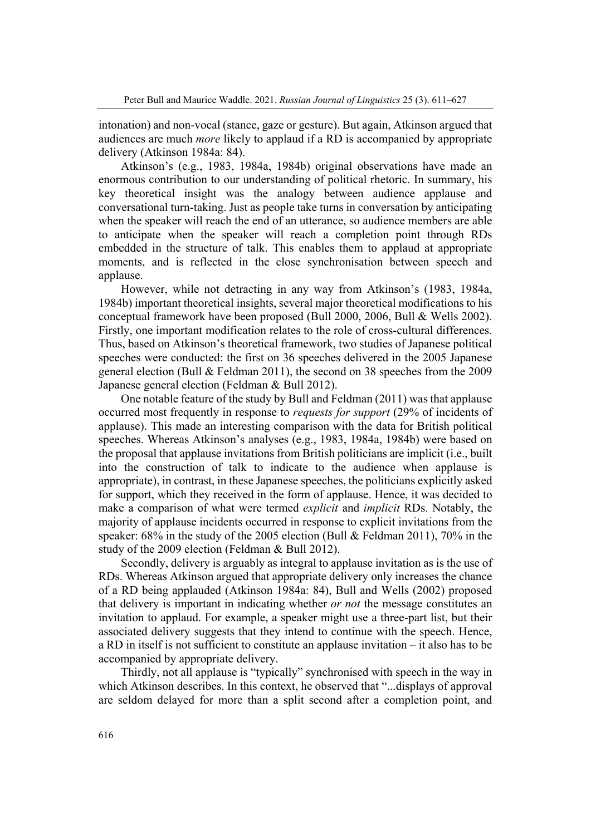intonation) and non-vocal (stance, gaze or gesture). But again, Atkinson argued that audiences are much *more* likely to applaud if a RD is accompanied by appropriate delivery (Atkinson 1984a: 84).

Atkinson's (e.g., 1983, 1984a, 1984b) original observations have made an enormous contribution to our understanding of political rhetoric. In summary, his key theoretical insight was the analogy between audience applause and conversational turn-taking. Just as people take turns in conversation by anticipating when the speaker will reach the end of an utterance, so audience members are able to anticipate when the speaker will reach a completion point through RDs embedded in the structure of talk. This enables them to applaud at appropriate moments, and is reflected in the close synchronisation between speech and applause.

However, while not detracting in any way from Atkinson's (1983, 1984a, 1984b) important theoretical insights, several major theoretical modifications to his conceptual framework have been proposed (Bull 2000, 2006, Bull & Wells 2002). Firstly, one important modification relates to the role of cross-cultural differences. Thus, based on Atkinson's theoretical framework, two studies of Japanese political speeches were conducted: the first on 36 speeches delivered in the 2005 Japanese general election (Bull & Feldman 2011), the second on 38 speeches from the 2009 Japanese general election (Feldman & Bull 2012).

One notable feature of the study by Bull and Feldman (2011) was that applause occurred most frequently in response to *requests for support* (29% of incidents of applause). This made an interesting comparison with the data for British political speeches. Whereas Atkinson's analyses (e.g., 1983, 1984a, 1984b) were based on the proposal that applause invitations from British politicians are implicit (i.e., built into the construction of talk to indicate to the audience when applause is appropriate), in contrast, in these Japanese speeches, the politicians explicitly asked for support, which they received in the form of applause. Hence, it was decided to make a comparison of what were termed *explicit* and *implicit* RDs. Notably, the majority of applause incidents occurred in response to explicit invitations from the speaker: 68% in the study of the 2005 election (Bull & Feldman 2011), 70% in the study of the 2009 election (Feldman & Bull 2012).

Secondly, delivery is arguably as integral to applause invitation as is the use of RDs. Whereas Atkinson argued that appropriate delivery only increases the chance of a RD being applauded (Atkinson 1984a: 84), Bull and Wells (2002) proposed that delivery is important in indicating whether *or not* the message constitutes an invitation to applaud. For example, a speaker might use a three-part list, but their associated delivery suggests that they intend to continue with the speech. Hence, a RD in itself is not sufficient to constitute an applause invitation – it also has to be accompanied by appropriate delivery.

Thirdly, not all applause is "typically" synchronised with speech in the way in which Atkinson describes. In this context, he observed that "...displays of approval are seldom delayed for more than a split second after a completion point, and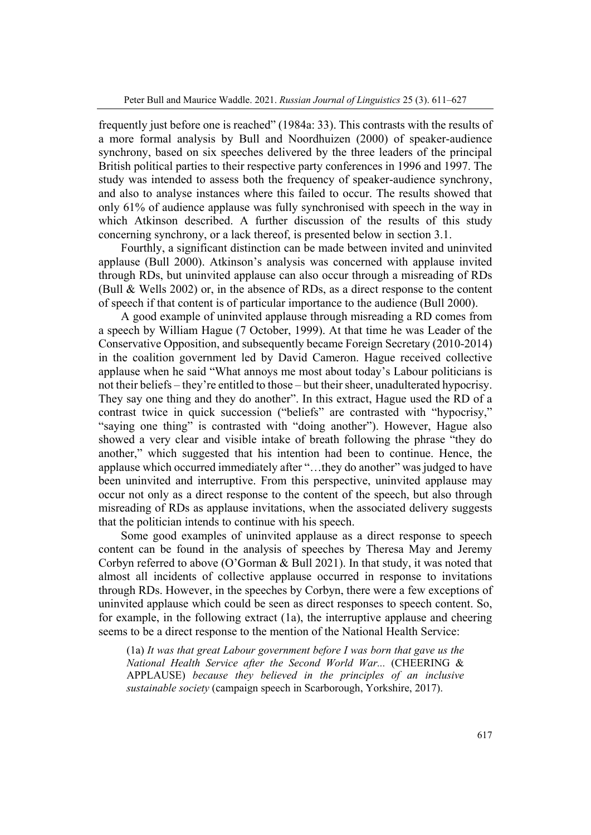frequently just before one is reached" (1984a: 33). This contrasts with the results of a more formal analysis by Bull and Noordhuizen (2000) of speaker-audience synchrony, based on six speeches delivered by the three leaders of the principal British political parties to their respective party conferences in 1996 and 1997. The study was intended to assess both the frequency of speaker-audience synchrony, and also to analyse instances where this failed to occur. The results showed that only 61% of audience applause was fully synchronised with speech in the way in which Atkinson described. A further discussion of the results of this study concerning synchrony, or a lack thereof, is presented below in section 3.1.

Fourthly, a significant distinction can be made between invited and uninvited applause (Bull 2000). Atkinson's analysis was concerned with applause invited through RDs, but uninvited applause can also occur through a misreading of RDs (Bull & Wells 2002) or, in the absence of RDs, as a direct response to the content of speech if that content is of particular importance to the audience (Bull 2000).

A good example of uninvited applause through misreading a RD comes from a speech by William Hague (7 October, 1999). At that time he was Leader of the Conservative Opposition, and subsequently became Foreign Secretary (2010-2014) in the coalition government led by David Cameron. Hague received collective applause when he said "What annoys me most about today's Labour politicians is not their beliefs – they're entitled to those – but their sheer, unadulterated hypocrisy. They say one thing and they do another". In this extract, Hague used the RD of a contrast twice in quick succession ("beliefs" are contrasted with "hypocrisy," "saying one thing" is contrasted with "doing another"). However, Hague also showed a very clear and visible intake of breath following the phrase "they do another," which suggested that his intention had been to continue. Hence, the applause which occurred immediately after "…they do another" was judged to have been uninvited and interruptive. From this perspective, uninvited applause may occur not only as a direct response to the content of the speech, but also through misreading of RDs as applause invitations, when the associated delivery suggests that the politician intends to continue with his speech.

Some good examples of uninvited applause as a direct response to speech content can be found in the analysis of speeches by Theresa May and Jeremy Corbyn referred to above (O'Gorman & Bull 2021). In that study, it was noted that almost all incidents of collective applause occurred in response to invitations through RDs. However, in the speeches by Corbyn, there were a few exceptions of uninvited applause which could be seen as direct responses to speech content. So, for example, in the following extract (1a), the interruptive applause and cheering seems to be a direct response to the mention of the National Health Service:

(1a) *It was that great Labour government before I was born that gave us the National Health Service after the Second World War...* (CHEERING & APPLAUSE) *because they believed in the principles of an inclusive sustainable society* (campaign speech in Scarborough, Yorkshire, 2017).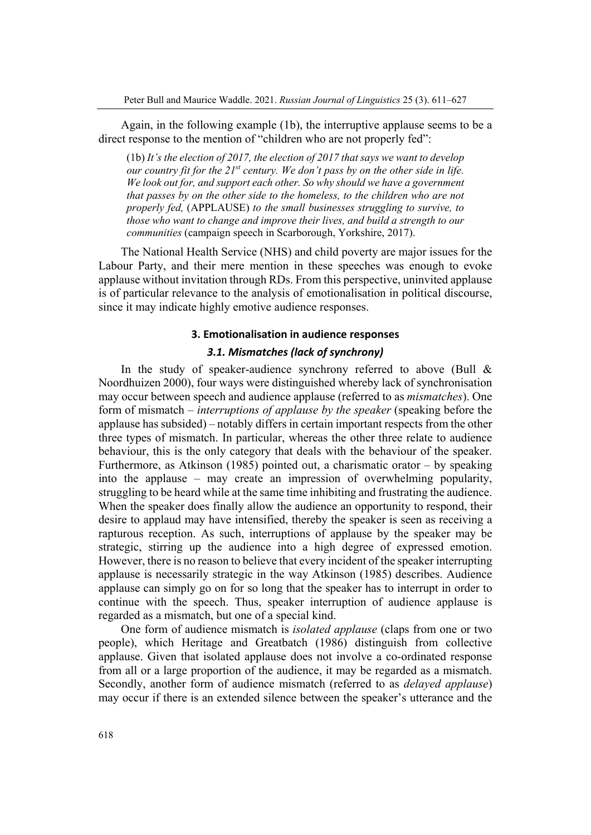Again, in the following example (1b), the interruptive applause seems to be a direct response to the mention of "children who are not properly fed":

(1b) *It's the election of 2017, the election of 2017 that says we want to develop our country fit for the 21st century. We don't pass by on the other side in life. We look out for, and support each other. So why should we have a government that passes by on the other side to the homeless, to the children who are not properly fed,* (APPLAUSE) *to the small businesses struggling to survive, to those who want to change and improve their lives, and build a strength to our communities* (campaign speech in Scarborough, Yorkshire, 2017).

The National Health Service (NHS) and child poverty are major issues for the Labour Party, and their mere mention in these speeches was enough to evoke applause without invitation through RDs. From this perspective, uninvited applause is of particular relevance to the analysis of emotionalisation in political discourse, since it may indicate highly emotive audience responses.

# **3. Emotionalisation in audience responses**

## *3.1. Mismatches (lack of synchrony)*

In the study of speaker-audience synchrony referred to above (Bull & Noordhuizen 2000), four ways were distinguished whereby lack of synchronisation may occur between speech and audience applause (referred to as *mismatches*). One form of mismatch – *interruptions of applause by the speaker* (speaking before the applause has subsided) – notably differs in certain important respects from the other three types of mismatch. In particular, whereas the other three relate to audience behaviour, this is the only category that deals with the behaviour of the speaker. Furthermore, as Atkinson (1985) pointed out, a charismatic orator – by speaking into the applause – may create an impression of overwhelming popularity, struggling to be heard while at the same time inhibiting and frustrating the audience. When the speaker does finally allow the audience an opportunity to respond, their desire to applaud may have intensified, thereby the speaker is seen as receiving a rapturous reception. As such, interruptions of applause by the speaker may be strategic, stirring up the audience into a high degree of expressed emotion. However, there is no reason to believe that every incident of the speaker interrupting applause is necessarily strategic in the way Atkinson (1985) describes. Audience applause can simply go on for so long that the speaker has to interrupt in order to continue with the speech. Thus, speaker interruption of audience applause is regarded as a mismatch, but one of a special kind.

One form of audience mismatch is *isolated applause* (claps from one or two people), which Heritage and Greatbatch (1986) distinguish from collective applause. Given that isolated applause does not involve a co-ordinated response from all or a large proportion of the audience, it may be regarded as a mismatch. Secondly, another form of audience mismatch (referred to as *delayed applause*) may occur if there is an extended silence between the speaker's utterance and the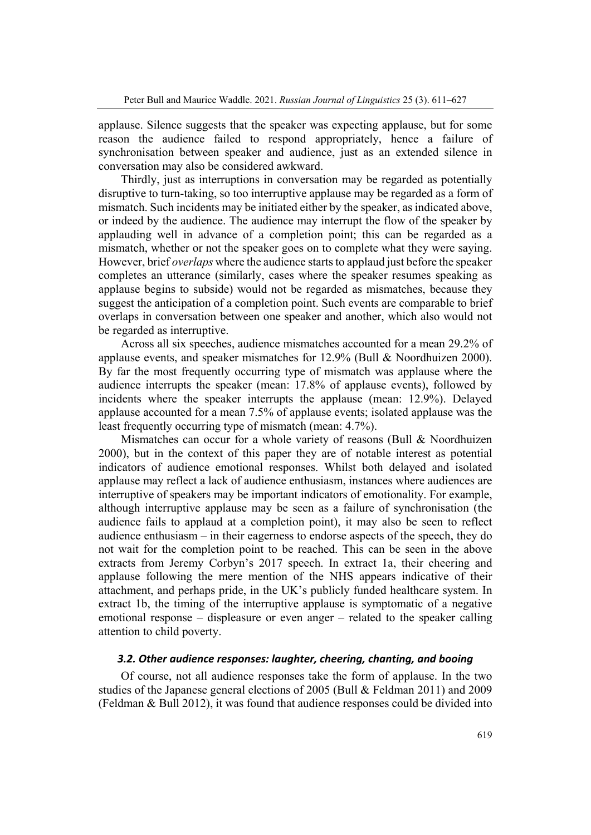applause. Silence suggests that the speaker was expecting applause, but for some reason the audience failed to respond appropriately, hence a failure of synchronisation between speaker and audience, just as an extended silence in conversation may also be considered awkward.

Thirdly, just as interruptions in conversation may be regarded as potentially disruptive to turn-taking, so too interruptive applause may be regarded as a form of mismatch. Such incidents may be initiated either by the speaker, as indicated above, or indeed by the audience. The audience may interrupt the flow of the speaker by applauding well in advance of a completion point; this can be regarded as a mismatch, whether or not the speaker goes on to complete what they were saying. However, brief *overlaps* where the audience starts to applaud just before the speaker completes an utterance (similarly, cases where the speaker resumes speaking as applause begins to subside) would not be regarded as mismatches, because they suggest the anticipation of a completion point. Such events are comparable to brief overlaps in conversation between one speaker and another, which also would not be regarded as interruptive.

Across all six speeches, audience mismatches accounted for a mean 29.2% of applause events, and speaker mismatches for 12.9% (Bull & Noordhuizen 2000). By far the most frequently occurring type of mismatch was applause where the audience interrupts the speaker (mean: 17.8% of applause events), followed by incidents where the speaker interrupts the applause (mean: 12.9%). Delayed applause accounted for a mean 7.5% of applause events; isolated applause was the least frequently occurring type of mismatch (mean: 4.7%).

Mismatches can occur for a whole variety of reasons (Bull & Noordhuizen 2000), but in the context of this paper they are of notable interest as potential indicators of audience emotional responses. Whilst both delayed and isolated applause may reflect a lack of audience enthusiasm, instances where audiences are interruptive of speakers may be important indicators of emotionality. For example, although interruptive applause may be seen as a failure of synchronisation (the audience fails to applaud at a completion point), it may also be seen to reflect audience enthusiasm – in their eagerness to endorse aspects of the speech, they do not wait for the completion point to be reached. This can be seen in the above extracts from Jeremy Corbyn's 2017 speech. In extract 1a, their cheering and applause following the mere mention of the NHS appears indicative of their attachment, and perhaps pride, in the UK's publicly funded healthcare system. In extract 1b, the timing of the interruptive applause is symptomatic of a negative emotional response – displeasure or even anger – related to the speaker calling attention to child poverty.

## *3.2. Other audience responses: laughter, cheering, chanting, and booing*

Of course, not all audience responses take the form of applause. In the two studies of the Japanese general elections of 2005 (Bull & Feldman 2011) and 2009 (Feldman & Bull 2012), it was found that audience responses could be divided into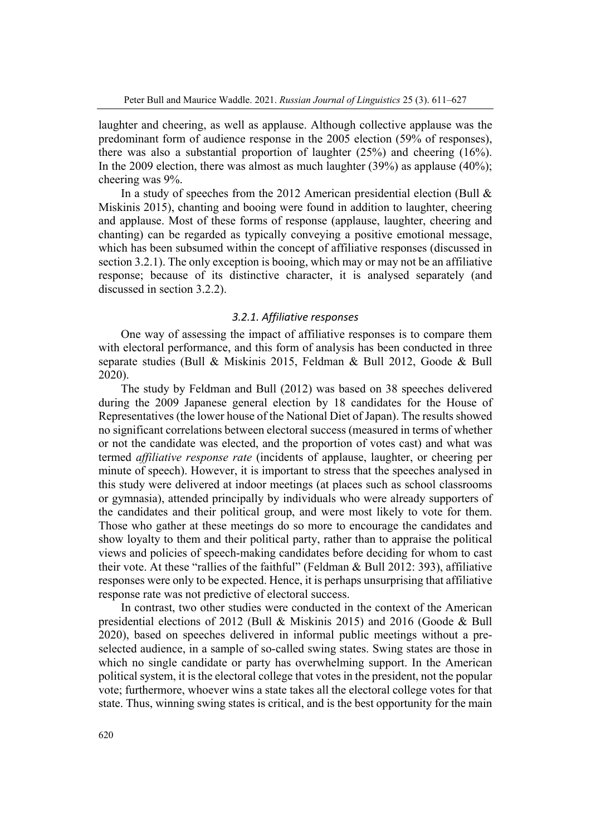laughter and cheering, as well as applause. Although collective applause was the predominant form of audience response in the 2005 election (59% of responses), there was also a substantial proportion of laughter (25%) and cheering (16%). In the 2009 election, there was almost as much laughter (39%) as applause (40%); cheering was 9%.

In a study of speeches from the 2012 American presidential election (Bull  $\&$ Miskinis 2015), chanting and booing were found in addition to laughter, cheering and applause. Most of these forms of response (applause, laughter, cheering and chanting) can be regarded as typically conveying a positive emotional message, which has been subsumed within the concept of affiliative responses (discussed in section 3.2.1). The only exception is booing, which may or may not be an affiliative response; because of its distinctive character, it is analysed separately (and discussed in section 3.2.2).

## *3.2.1. Affiliative responses*

One way of assessing the impact of affiliative responses is to compare them with electoral performance, and this form of analysis has been conducted in three separate studies (Bull & Miskinis 2015, Feldman & Bull 2012, Goode & Bull 2020).

The study by Feldman and Bull (2012) was based on 38 speeches delivered during the 2009 Japanese general election by 18 candidates for the House of Representatives (the lower house of the National Diet of Japan). The results showed no significant correlations between electoral success (measured in terms of whether or not the candidate was elected, and the proportion of votes cast) and what was termed *affiliative response rate* (incidents of applause, laughter, or cheering per minute of speech). However, it is important to stress that the speeches analysed in this study were delivered at indoor meetings (at places such as school classrooms or gymnasia), attended principally by individuals who were already supporters of the candidates and their political group, and were most likely to vote for them. Those who gather at these meetings do so more to encourage the candidates and show loyalty to them and their political party, rather than to appraise the political views and policies of speech-making candidates before deciding for whom to cast their vote. At these "rallies of the faithful" (Feldman & Bull 2012: 393), affiliative responses were only to be expected. Hence, it is perhaps unsurprising that affiliative response rate was not predictive of electoral success.

In contrast, two other studies were conducted in the context of the American presidential elections of 2012 (Bull & Miskinis 2015) and 2016 (Goode & Bull 2020), based on speeches delivered in informal public meetings without a preselected audience, in a sample of so-called swing states. Swing states are those in which no single candidate or party has overwhelming support. In the American political system, it is the electoral college that votes in the president, not the popular vote; furthermore, whoever wins a state takes all the electoral college votes for that state. Thus, winning swing states is critical, and is the best opportunity for the main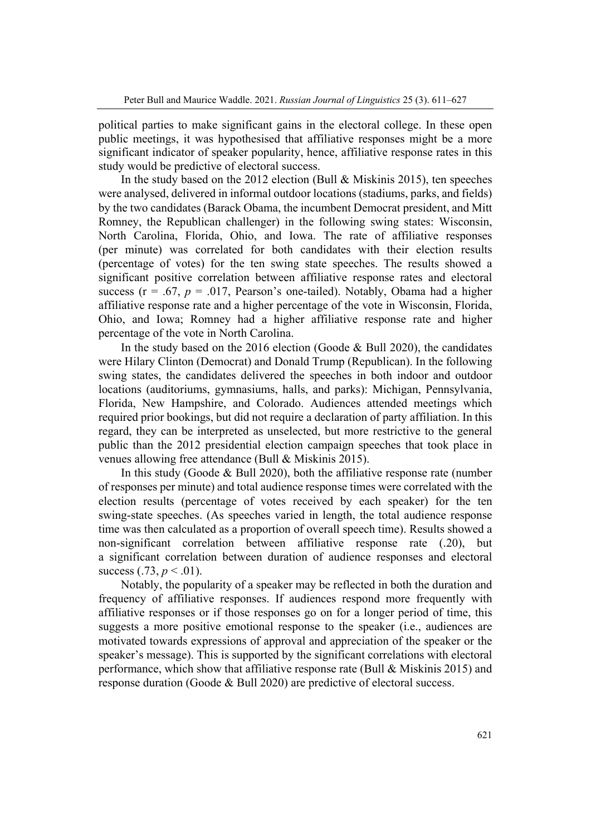political parties to make significant gains in the electoral college. In these open public meetings, it was hypothesised that affiliative responses might be a more significant indicator of speaker popularity, hence, affiliative response rates in this study would be predictive of electoral success.

In the study based on the 2012 election (Bull & Miskinis 2015), ten speeches were analysed, delivered in informal outdoor locations (stadiums, parks, and fields) by the two candidates (Barack Obama, the incumbent Democrat president, and Mitt Romney, the Republican challenger) in the following swing states: Wisconsin, North Carolina, Florida, Ohio, and Iowa. The rate of affiliative responses (per minute) was correlated for both candidates with their election results (percentage of votes) for the ten swing state speeches. The results showed a significant positive correlation between affiliative response rates and electoral success ( $r = .67$ ,  $p = .017$ , Pearson's one-tailed). Notably, Obama had a higher affiliative response rate and a higher percentage of the vote in Wisconsin, Florida, Ohio, and Iowa; Romney had a higher affiliative response rate and higher percentage of the vote in North Carolina.

In the study based on the 2016 election (Goode & Bull 2020), the candidates were Hilary Clinton (Democrat) and Donald Trump (Republican). In the following swing states, the candidates delivered the speeches in both indoor and outdoor locations (auditoriums, gymnasiums, halls, and parks): Michigan, Pennsylvania, Florida, New Hampshire, and Colorado. Audiences attended meetings which required prior bookings, but did not require a declaration of party affiliation. In this regard, they can be interpreted as unselected, but more restrictive to the general public than the 2012 presidential election campaign speeches that took place in venues allowing free attendance (Bull & Miskinis 2015).

In this study (Goode & Bull 2020), both the affiliative response rate (number of responses per minute) and total audience response times were correlated with the election results (percentage of votes received by each speaker) for the ten swing-state speeches. (As speeches varied in length, the total audience response time was then calculated as a proportion of overall speech time). Results showed a non-significant correlation between affiliative response rate (.20), but a significant correlation between duration of audience responses and electoral success  $(.73, p < .01)$ .

Notably, the popularity of a speaker may be reflected in both the duration and frequency of affiliative responses. If audiences respond more frequently with affiliative responses or if those responses go on for a longer period of time, this suggests a more positive emotional response to the speaker (i.e., audiences are motivated towards expressions of approval and appreciation of the speaker or the speaker's message). This is supported by the significant correlations with electoral performance, which show that affiliative response rate (Bull & Miskinis 2015) and response duration (Goode & Bull 2020) are predictive of electoral success.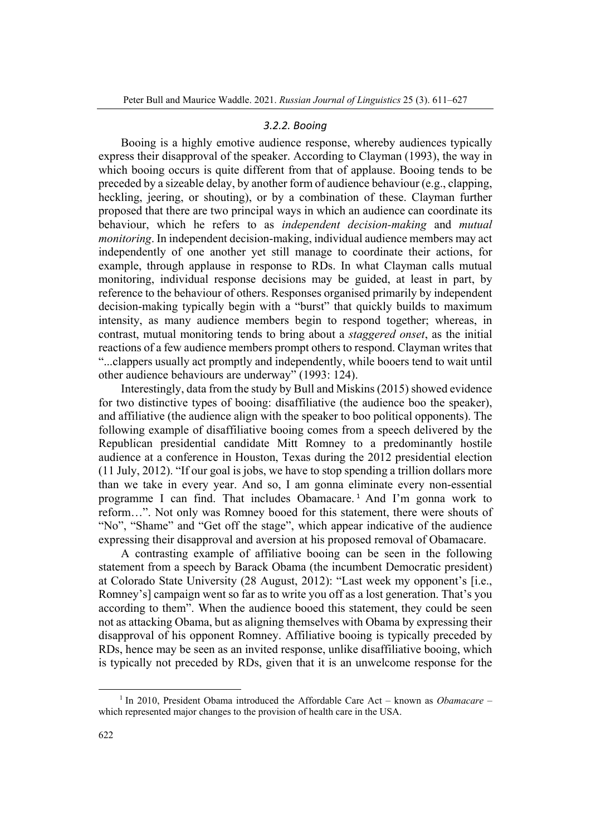## *3.2.2. Booing*

Booing is a highly emotive audience response, whereby audiences typically express their disapproval of the speaker. According to Clayman (1993), the way in which booing occurs is quite different from that of applause. Booing tends to be preceded by a sizeable delay, by another form of audience behaviour (e.g., clapping, heckling, jeering, or shouting), or by a combination of these. Clayman further proposed that there are two principal ways in which an audience can coordinate its behaviour, which he refers to as *independent decision-making* and *mutual monitoring*. In independent decision-making, individual audience members may act independently of one another yet still manage to coordinate their actions, for example, through applause in response to RDs. In what Clayman calls mutual monitoring, individual response decisions may be guided, at least in part, by reference to the behaviour of others. Responses organised primarily by independent decision-making typically begin with a "burst" that quickly builds to maximum intensity, as many audience members begin to respond together; whereas, in contrast, mutual monitoring tends to bring about a *staggered onset*, as the initial reactions of a few audience members prompt others to respond. Clayman writes that "...clappers usually act promptly and independently, while booers tend to wait until other audience behaviours are underway" (1993: 124).

Interestingly, data from the study by Bull and Miskins (2015) showed evidence for two distinctive types of booing: disaffiliative (the audience boo the speaker), and affiliative (the audience align with the speaker to boo political opponents). The following example of disaffiliative booing comes from a speech delivered by the Republican presidential candidate Mitt Romney to a predominantly hostile audience at a conference in Houston, Texas during the 2012 presidential election (11 July, 2012). "If our goal is jobs, we have to stop spending a trillion dollars more than we take in every year. And so, I am gonna eliminate every non-essential programme I can find. That includes Obamacare. <sup>1</sup> And I'm gonna work to reform…". Not only was Romney booed for this statement, there were shouts of "No", "Shame" and "Get off the stage", which appear indicative of the audience expressing their disapproval and aversion at his proposed removal of Obamacare.

A contrasting example of affiliative booing can be seen in the following statement from a speech by Barack Obama (the incumbent Democratic president) at Colorado State University (28 August, 2012): "Last week my opponent's [i.e., Romney's] campaign went so far as to write you off as a lost generation. That's you according to them". When the audience booed this statement, they could be seen not as attacking Obama, but as aligning themselves with Obama by expressing their disapproval of his opponent Romney. Affiliative booing is typically preceded by RDs, hence may be seen as an invited response, unlike disaffiliative booing, which is typically not preceded by RDs, given that it is an unwelcome response for the

<sup>&</sup>lt;sup>1</sup> In 2010, President Obama introduced the Affordable Care Act – known as *Obamacare* – which represented major changes to the provision of health care in the USA.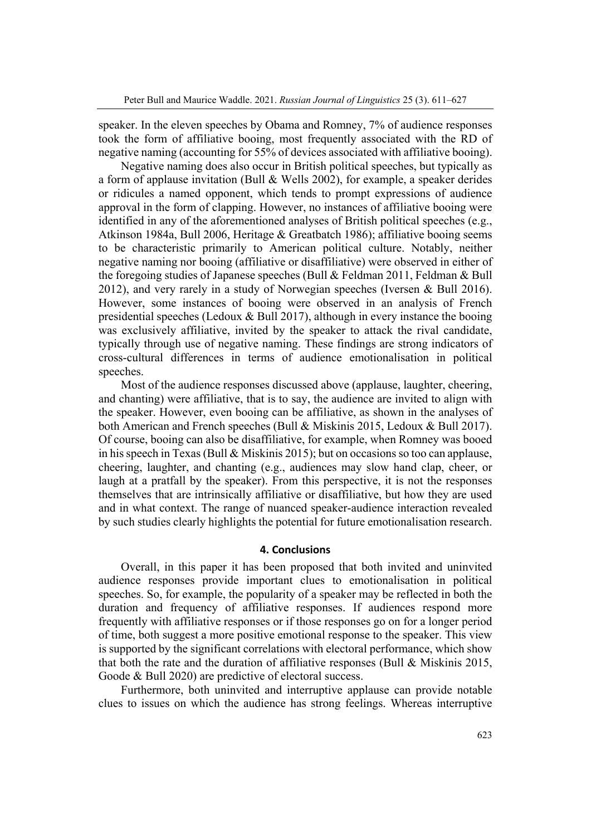speaker. In the eleven speeches by Obama and Romney, 7% of audience responses took the form of affiliative booing, most frequently associated with the RD of negative naming (accounting for 55% of devices associated with affiliative booing).

Negative naming does also occur in British political speeches, but typically as a form of applause invitation (Bull & Wells 2002), for example, a speaker derides or ridicules a named opponent, which tends to prompt expressions of audience approval in the form of clapping. However, no instances of affiliative booing were identified in any of the aforementioned analyses of British political speeches (e.g., Atkinson 1984a, Bull 2006, Heritage & Greatbatch 1986); affiliative booing seems to be characteristic primarily to American political culture. Notably, neither negative naming nor booing (affiliative or disaffiliative) were observed in either of the foregoing studies of Japanese speeches (Bull & Feldman 2011, Feldman & Bull 2012), and very rarely in a study of Norwegian speeches (Iversen & Bull 2016). However, some instances of booing were observed in an analysis of French presidential speeches (Ledoux & Bull 2017), although in every instance the booing was exclusively affiliative, invited by the speaker to attack the rival candidate, typically through use of negative naming. These findings are strong indicators of cross-cultural differences in terms of audience emotionalisation in political speeches.

Most of the audience responses discussed above (applause, laughter, cheering, and chanting) were affiliative, that is to say, the audience are invited to align with the speaker. However, even booing can be affiliative, as shown in the analyses of both American and French speeches (Bull & Miskinis 2015, Ledoux & Bull 2017). Of course, booing can also be disaffiliative, for example, when Romney was booed in his speech in Texas (Bull & Miskinis 2015); but on occasions so too can applause, cheering, laughter, and chanting (e.g., audiences may slow hand clap, cheer, or laugh at a pratfall by the speaker). From this perspective, it is not the responses themselves that are intrinsically affiliative or disaffiliative, but how they are used and in what context. The range of nuanced speaker-audience interaction revealed by such studies clearly highlights the potential for future emotionalisation research.

## **4. Conclusions**

Overall, in this paper it has been proposed that both invited and uninvited audience responses provide important clues to emotionalisation in political speeches. So, for example, the popularity of a speaker may be reflected in both the duration and frequency of affiliative responses. If audiences respond more frequently with affiliative responses or if those responses go on for a longer period of time, both suggest a more positive emotional response to the speaker. This view is supported by the significant correlations with electoral performance, which show that both the rate and the duration of affiliative responses (Bull & Miskinis 2015, Goode & Bull 2020) are predictive of electoral success.

Furthermore, both uninvited and interruptive applause can provide notable clues to issues on which the audience has strong feelings. Whereas interruptive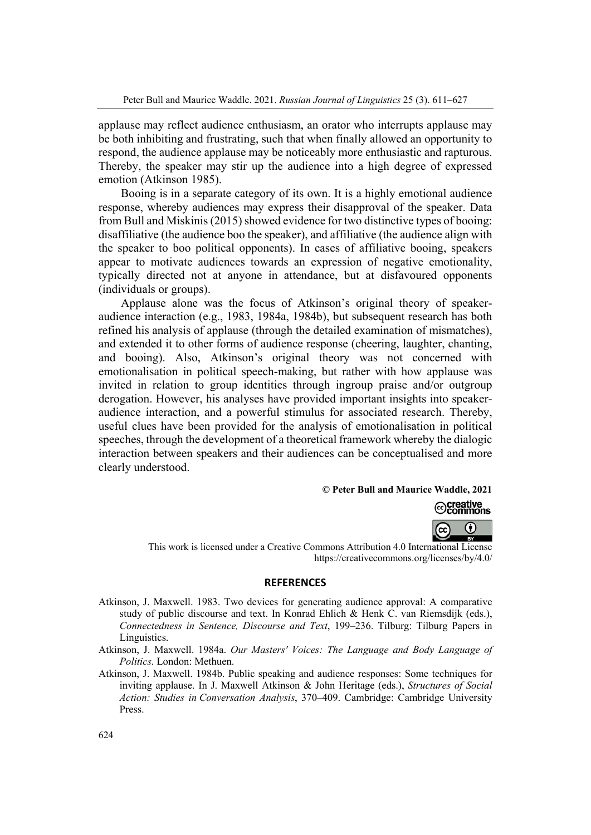applause may reflect audience enthusiasm, an orator who interrupts applause may be both inhibiting and frustrating, such that when finally allowed an opportunity to respond, the audience applause may be noticeably more enthusiastic and rapturous. Thereby, the speaker may stir up the audience into a high degree of expressed emotion (Atkinson 1985).

Booing is in a separate category of its own. It is a highly emotional audience response, whereby audiences may express their disapproval of the speaker. Data from Bull and Miskinis (2015) showed evidence for two distinctive types of booing: disaffiliative (the audience boo the speaker), and affiliative (the audience align with the speaker to boo political opponents). In cases of affiliative booing, speakers appear to motivate audiences towards an expression of negative emotionality, typically directed not at anyone in attendance, but at disfavoured opponents (individuals or groups).

Applause alone was the focus of Atkinson's original theory of speakeraudience interaction (e.g., 1983, 1984a, 1984b), but subsequent research has both refined his analysis of applause (through the detailed examination of mismatches), and extended it to other forms of audience response (cheering, laughter, chanting, and booing). Also, Atkinson's original theory was not concerned with emotionalisation in political speech-making, but rather with how applause was invited in relation to group identities through ingroup praise and/or outgroup derogation. However, his analyses have provided important insights into speakeraudience interaction, and a powerful stimulus for associated research. Thereby, useful clues have been provided for the analysis of emotionalisation in political speeches, through the development of a theoretical framework whereby the dialogic interaction between speakers and their audiences can be conceptualised and more clearly understood.

#### **© Peter Bull and Maurice Waddle, 2021**



This work is licensed under a Creative Commons Attribution 4.0 International License https://creativecommons.org/licenses/by/4.0/

#### **REFERENCES**

- Atkinson, J. Maxwell. 1983. Two devices for generating audience approval: A comparative study of public discourse and text. In Konrad Ehlich & Henk C. van Riemsdijk (eds.), *Connectedness in Sentence, Discourse and Text*, 199–236. Tilburg: Tilburg Papers in Linguistics.
- Atkinson, J. Maxwell. 1984a. *Our Masters' Voices: The Language and Body Language of Politics*. London: Methuen.
- Atkinson, J. Maxwell. 1984b. Public speaking and audience responses: Some techniques for inviting applause. In J. Maxwell Atkinson & John Heritage (eds.), *Structures of Social Action: Studies in Conversation Analysis*, 370–409. Cambridge: Cambridge University Press.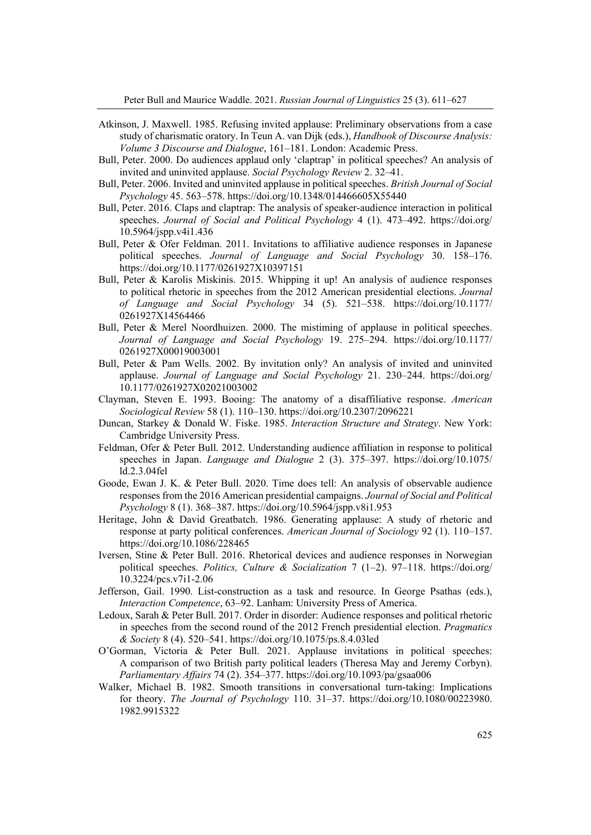- Atkinson, J. Maxwell. 1985. Refusing invited applause: Preliminary observations from a case study of charismatic oratory. In Teun A. van Dijk (eds.), *Handbook of Discourse Analysis: Volume 3 Discourse and Dialogue*, 161–181. London: Academic Press.
- Bull, Peter. 2000. Do audiences applaud only 'claptrap' in political speeches? An analysis of invited and uninvited applause. *Social Psychology Review* 2. 32–41.
- Bull, Peter. 2006. Invited and uninvited applause in political speeches. *British Journal of Social Psychology* 45. 563–578. https://doi.org/10.1348/014466605X55440
- Bull, Peter. 2016. Claps and claptrap: The analysis of speaker-audience interaction in political speeches. *Journal of Social and Political Psychology* 4 (1). 473–492. https://doi.org/ 10.5964/jspp.v4i1.436
- Bull, Peter & Ofer Feldman. 2011. Invitations to affiliative audience responses in Japanese political speeches. *Journal of Language and Social Psychology* 30. 158–176. https://doi.org/10.1177/0261927X10397151
- Bull, Peter & Karolis Miskinis. 2015. Whipping it up! An analysis of audience responses to political rhetoric in speeches from the 2012 American presidential elections. *Journal of Language and Social Psychology* 34 (5). 521–538. https://doi.org/10.1177/ 0261927X14564466
- Bull, Peter & Merel Noordhuizen. 2000. The mistiming of applause in political speeches. *Journal of Language and Social Psychology* 19. 275–294. https://doi.org/10.1177/ 0261927X00019003001
- Bull, Peter & Pam Wells. 2002. By invitation only? An analysis of invited and uninvited applause. *Journal of Language and Social Psychology* 21. 230–244. https://doi.org/ 10.1177/0261927X02021003002
- Clayman, Steven E. 1993. Booing: The anatomy of a disaffiliative response. *American Sociological Review* 58 (1). 110–130. https://doi.org/10.2307/2096221
- Duncan, Starkey & Donald W. Fiske. 1985. *Interaction Structure and Strategy*. New York: Cambridge University Press.
- Feldman, Ofer & Peter Bull. 2012. Understanding audience affiliation in response to political speeches in Japan. *Language and Dialogue* 2 (3). 375–397. https://doi.org/10.1075/ ld.2.3.04fel
- Goode, Ewan J. K. & Peter Bull. 2020. Time does tell: An analysis of observable audience responses from the 2016 American presidential campaigns. *Journal of Social and Political Psychology* 8 (1). 368–387. https://doi.org/10.5964/jspp.v8i1.953
- Heritage, John & David Greatbatch. 1986. Generating applause: A study of rhetoric and response at party political conferences. *American Journal of Sociology* 92 (1). 110–157. https://doi.org/10.1086/228465
- Iversen, Stine & Peter Bull. 2016. Rhetorical devices and audience responses in Norwegian political speeches. *Politics, Culture & Socialization* 7 (1–2). 97–118. https://doi.org/ 10.3224/pcs.v7i1-2.06
- Jefferson, Gail. 1990. List-construction as a task and resource. In George Psathas (eds.), *Interaction Competence*, 63–92. Lanham: University Press of America.
- Ledoux, Sarah & Peter Bull. 2017. Order in disorder: Audience responses and political rhetoric in speeches from the second round of the 2012 French presidential election. *Pragmatics & Society* 8 (4). 520–541. https://doi.org/10.1075/ps.8.4.03led
- O'Gorman, Victoria & Peter Bull. 2021. Applause invitations in political speeches: A comparison of two British party political leaders (Theresa May and Jeremy Corbyn). *Parliamentary Affairs* 74 (2). 354–377. https://doi.org/10.1093/pa/gsaa006
- Walker, Michael B. 1982. Smooth transitions in conversational turn-taking: Implications for theory. *The Journal of Psychology* 110. 31–37. https://doi.org/10.1080/00223980. 1982.9915322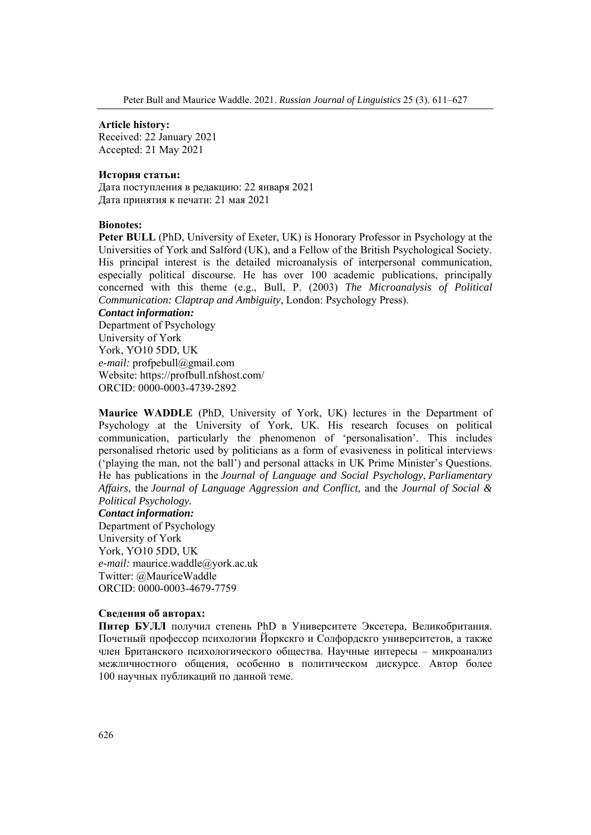**Article history:**  Received: 22 January 2021 Accepted: 21 May 2021

## **История статьи:**

Дата поступления в редакцию: 22 января 2021 Дата принятия к печати: 21 мая 2021

## **Bionotes:**

**Peter BULL** (PhD, University of Exeter, UK) is Honorary Professor in Psychology at the Universities of York and Salford (UK), and a Fellow of the British Psychological Society. His principal interest is the detailed microanalysis of interpersonal communication, especially political discourse. He has over 100 academic publications, principally concerned with this theme (e.g., Bull, P. (2003) *The Microanalysis of Political Communication: Claptrap and Ambiguity*, London: Psychology Press).

#### *Contact information:*

Department of Psychology University of York York, YO10 5DD, UK *e-mail:* profpebull@gmail.com Website: https://profbull.nfshost.com/ ORCID: 0000-0003-4739-2892

**Maurice WADDLE** (PhD, University of York, UK) lectures in the Department of Psychology at the University of York, UK. His research focuses on political communication, particularly the phenomenon of 'personalisation'. This includes personalised rhetoric used by politicians as a form of evasiveness in political interviews ('playing the man, not the ball') and personal attacks in UK Prime Minister's Questions. He has publications in the *Journal of Language and Social Psychology*, *Parliamentary Affairs*, the *Journal of Language Aggression and Conflict*, and the *Journal of Social & Political Psychology.*

## *Contact information:*

Department of Psychology University of York York, YO10 5DD, UK *e-mail:* maurice.waddle@york.ac.uk Twitter: @MauriceWaddle ORCID: 0000-0003-4679-7759

## **Сведения об авторах:**

**Питер БУЛЛ** получил степень PhD в Университете Эксетера, Великобритания. Почетный профессор психологии Йоркскго и Солфордскго университетов, а также член Британского психологического общества. Научные интересы – микроанализ межличностного общения, особенно в политическом дискурсе. Автор более 100 научных публикаций по данной теме.